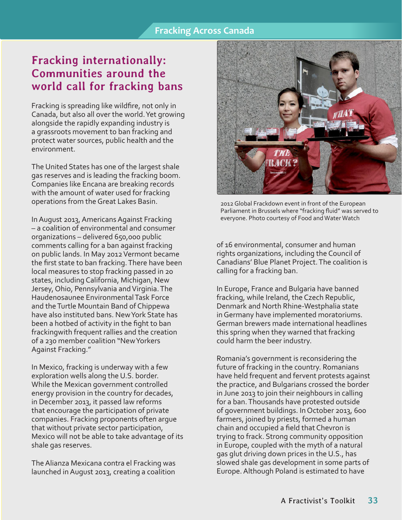## **Fracking internationally: Communities around the world call for fracking bans**

Fracking is spreading like wildfire, not only in Canada, but also all over the world. Yet growing alongside the rapidly expanding industry is a grassroots movement to ban fracking and protect water sources, public health and the environment.

The United States has one of the largest shale gas reserves and is leading the fracking boom. Companies like Encana are breaking records with the amount of water used for fracking operations from the Great Lakes Basin.

In August 2013, Americans Against Fracking – a coalition of environmental and consumer organizations – delivered 650,000 public comments calling for a ban against fracking on public lands. In May 2012 Vermont became the first state to ban fracking. There have been local measures to stop fracking passed in 20 states, including California, Michigan, New Jersey, Ohio, Pennsylvania and Virginia. The Haudenosaunee Environmental Task Force and the Turtle Mountain Band of Chippewa have also instituted bans. New York State has been a hotbed of activity in the fight to ban frackingwith frequent rallies and the creation of a 230 member coalition "New Yorkers Against Fracking."

In Mexico, fracking is underway with a few exploration wells along the U.S. border. While the Mexican government controlled energy provision in the country for decades, in December 2013, it passed law reforms that encourage the participation of private companies. Fracking proponents often argue that without private sector participation, Mexico will not be able to take advantage of its shale gas reserves.

The Alianza Mexicana contra el Fracking was launched in August 2013, creating a coalition



2012 Global Frackdown event in front of the European Parliament in Brussels where "fracking fluid" was served to everyone. Photo courtesy of Food and Water Watch

of 16 environmental, consumer and human rights organizations, including the Council of Canadians' Blue Planet Project. The coalition is calling for a fracking ban.

In Europe, France and Bulgaria have banned fracking, while Ireland, the Czech Republic, Denmark and North Rhine-Westphalia state in Germany have implemented moratoriums. German brewers made international headlines this spring when they warned that fracking could harm the beer industry.

Romania's government is reconsidering the future of fracking in the country. Romanians have held frequent and fervent protests against the practice, and Bulgarians crossed the border in June 2013 to join their neighbours in calling for a ban. Thousands have protested outside of government buildings. In October 2013, 600 farmers, joined by priests, formed a human chain and occupied a field that Chevron is trying to frack. Strong community opposition in Europe, coupled with the myth of a natural gas glut driving down prices in the U.S., has slowed shale gas development in some parts of Europe. Although Poland is estimated to have